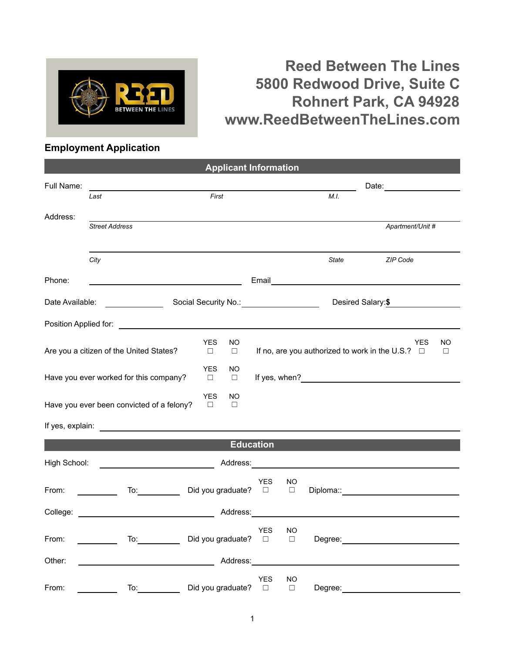

## **Reed Between The Lines 5800 Redwood Drive, Suite C Rohnert Park, CA 94928 www.ReedBetweenTheLines.com**

## **Employment Application**

|                                                        |                                                                                                                                                                                                                                |                                             | <b>Applicant Information</b>                                                                                                                                                                                                   |              |                   |                                                                                                                                                                                                                               |              |  |
|--------------------------------------------------------|--------------------------------------------------------------------------------------------------------------------------------------------------------------------------------------------------------------------------------|---------------------------------------------|--------------------------------------------------------------------------------------------------------------------------------------------------------------------------------------------------------------------------------|--------------|-------------------|-------------------------------------------------------------------------------------------------------------------------------------------------------------------------------------------------------------------------------|--------------|--|
| Full Name:                                             |                                                                                                                                                                                                                                |                                             |                                                                                                                                                                                                                                |              | Date:             |                                                                                                                                                                                                                               |              |  |
|                                                        | Last                                                                                                                                                                                                                           | First                                       |                                                                                                                                                                                                                                |              | M.I.              |                                                                                                                                                                                                                               |              |  |
| Address:                                               | <b>Street Address</b>                                                                                                                                                                                                          |                                             |                                                                                                                                                                                                                                |              |                   | Apartment/Unit #                                                                                                                                                                                                              |              |  |
|                                                        | City                                                                                                                                                                                                                           |                                             |                                                                                                                                                                                                                                |              | <b>State</b>      | ZIP Code                                                                                                                                                                                                                      |              |  |
| Phone:                                                 |                                                                                                                                                                                                                                |                                             |                                                                                                                                                                                                                                |              |                   |                                                                                                                                                                                                                               |              |  |
| Date Available:<br>Social Security No.: 2008 2012 2022 |                                                                                                                                                                                                                                |                                             |                                                                                                                                                                                                                                |              | Desired Salary:\$ |                                                                                                                                                                                                                               |              |  |
|                                                        |                                                                                                                                                                                                                                |                                             |                                                                                                                                                                                                                                |              |                   |                                                                                                                                                                                                                               |              |  |
|                                                        | Are you a citizen of the United States?                                                                                                                                                                                        | <b>YES</b><br>NO<br>$\Box$<br>$\Box$        |                                                                                                                                                                                                                                |              |                   | <b>YES</b><br>If no, are you authorized to work in the U.S.? $\Box$                                                                                                                                                           | NO<br>$\Box$ |  |
|                                                        | Have you ever worked for this company?                                                                                                                                                                                         | <b>YES</b><br>NO<br>$\Box$<br>$\Box$        |                                                                                                                                                                                                                                |              |                   |                                                                                                                                                                                                                               |              |  |
|                                                        | Have you ever been convicted of a felony?                                                                                                                                                                                      | <b>YES</b><br><b>NO</b><br>$\Box$<br>$\Box$ |                                                                                                                                                                                                                                |              |                   |                                                                                                                                                                                                                               |              |  |
|                                                        |                                                                                                                                                                                                                                |                                             |                                                                                                                                                                                                                                |              |                   |                                                                                                                                                                                                                               |              |  |
|                                                        |                                                                                                                                                                                                                                |                                             | <b>Education</b>                                                                                                                                                                                                               |              |                   |                                                                                                                                                                                                                               |              |  |
| High School:                                           | <u> 1990 - Johann Barbara, martin a</u>                                                                                                                                                                                        |                                             | Address: North Market Street Street Street Street Street Street Street Street Street Street Street Street Street Street Street Street Street Street Street Street Street Street Street Street Street Street Street Street Stre |              |                   |                                                                                                                                                                                                                               |              |  |
| From:                                                  | To: the contract of the contract of the contract of the contract of the contract of the contract of the contract of the contract of the contract of the contract of the contract of the contract of the contract of the contra | Did you graduate? □                         | <b>YES</b>                                                                                                                                                                                                                     | NO<br>$\Box$ |                   | Diploma:: and the contract of the contract of the contract of the contract of the contract of the contract of the contract of the contract of the contract of the contract of the contract of the contract of the contract of |              |  |
| College:                                               | <u> 1980 - Johann Barn, fransk politik (</u>                                                                                                                                                                                   |                                             | Address:                                                                                                                                                                                                                       |              |                   |                                                                                                                                                                                                                               |              |  |
| From:                                                  | $\overline{a}$ To: $\overline{a}$<br><u>and a strong</u>                                                                                                                                                                       | Did you graduate? □                         | <b>YES</b>                                                                                                                                                                                                                     | NO<br>$\Box$ |                   |                                                                                                                                                                                                                               |              |  |
| Other:                                                 | <u> 1989 - Johann Barn, fransk politik (d. 1989)</u>                                                                                                                                                                           |                                             | Address:                                                                                                                                                                                                                       |              |                   |                                                                                                                                                                                                                               |              |  |
| From:                                                  | To:                                                                                                                                                                                                                            | Did you graduate?                           | <b>YES</b><br>$\Box$                                                                                                                                                                                                           | NO<br>$\Box$ | Degree:           |                                                                                                                                                                                                                               |              |  |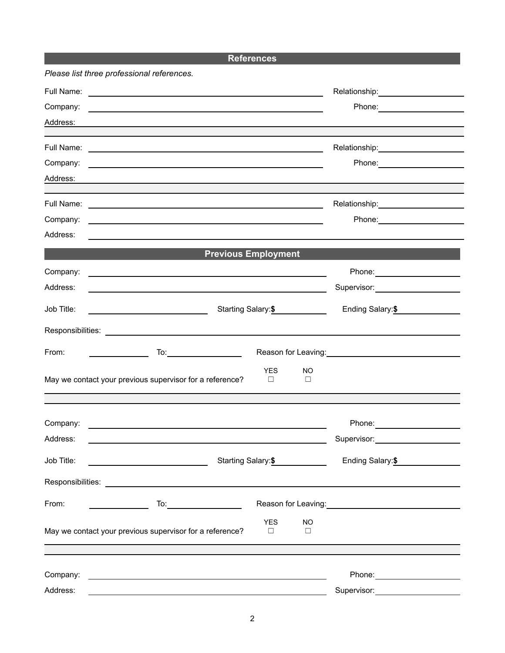**References**

|            | Please list three professional references.                                                                                                                                                                                    |                      |                     |                                                                                                                                                                                                                                |  |
|------------|-------------------------------------------------------------------------------------------------------------------------------------------------------------------------------------------------------------------------------|----------------------|---------------------|--------------------------------------------------------------------------------------------------------------------------------------------------------------------------------------------------------------------------------|--|
|            |                                                                                                                                                                                                                               |                      |                     |                                                                                                                                                                                                                                |  |
| Company:   | <u> 1989 - Andrea Andrew Maria (h. 1989).</u><br>1905 - Andrew Maria (h. 1906).                                                                                                                                               |                      |                     |                                                                                                                                                                                                                                |  |
| Address:   |                                                                                                                                                                                                                               |                      |                     |                                                                                                                                                                                                                                |  |
|            |                                                                                                                                                                                                                               |                      |                     | Relationship: ______________________                                                                                                                                                                                           |  |
| Company:   | <u> 1989 - Johann Stoff, amerikansk politiker (* 1908)</u>                                                                                                                                                                    |                      |                     |                                                                                                                                                                                                                                |  |
| Address:   |                                                                                                                                                                                                                               |                      |                     |                                                                                                                                                                                                                                |  |
|            |                                                                                                                                                                                                                               |                      |                     | Relationship: _______________________                                                                                                                                                                                          |  |
| Company:   | <u> 1989 - Johann Harry Harry Harry Harry Harry Harry Harry Harry Harry Harry Harry Harry Harry Harry Harry Harry</u>                                                                                                         |                      |                     | Phone: 2000 2000 2010 2010 2020 2020 2021 2021 2022 2021 2021 2021 2021 2022 2022 2021 2021 2022 2022 2022 20                                                                                                                  |  |
| Address:   | the control of the control of the control of the control of the control of the control of the control of the control of the control of the control of the control of the control of the control of the control of the control |                      |                     |                                                                                                                                                                                                                                |  |
|            | <b>Previous Employment</b>                                                                                                                                                                                                    |                      |                     |                                                                                                                                                                                                                                |  |
| Company:   | the contract of the contract of the contract of the contract of the contract of the contract of the contract of                                                                                                               |                      |                     |                                                                                                                                                                                                                                |  |
| Address:   |                                                                                                                                                                                                                               |                      |                     | Supervisor: ______________________                                                                                                                                                                                             |  |
| Job Title: | <u> 1989 - Johann Barnett, fransk politiker (</u>                                                                                                                                                                             | Starting Salary:\$   |                     | Ending Salary: \$                                                                                                                                                                                                              |  |
|            |                                                                                                                                                                                                                               |                      |                     |                                                                                                                                                                                                                                |  |
| From:      |                                                                                                                                                                                                                               |                      |                     | Reason for Leaving: Note and the set of the set of the set of the set of the set of the set of the set of the set of the set of the set of the set of the set of the set of the set of the set of the set of the set of the se |  |
|            | May we contact your previous supervisor for a reference?                                                                                                                                                                      | <b>YES</b><br>$\Box$ | NO.<br>□            |                                                                                                                                                                                                                                |  |
|            |                                                                                                                                                                                                                               |                      |                     |                                                                                                                                                                                                                                |  |
| Company:   | <u> 1989 - John Stein, mars and de Britain and de Britain and de Britain and de Britain and de Britain and de Br</u>                                                                                                          |                      |                     |                                                                                                                                                                                                                                |  |
| Address:   |                                                                                                                                                                                                                               |                      |                     | Supervisor:                                                                                                                                                                                                                    |  |
| Job Title: |                                                                                                                                                                                                                               | Starting Salary:\$   |                     | Ending Salary:\$                                                                                                                                                                                                               |  |
|            |                                                                                                                                                                                                                               |                      |                     |                                                                                                                                                                                                                                |  |
| From:      |                                                                                                                                                                                                                               |                      |                     | Reason for Leaving: 1997                                                                                                                                                                                                       |  |
|            | May we contact your previous supervisor for a reference?                                                                                                                                                                      | <b>YES</b><br>□      | <b>NO</b><br>$\Box$ |                                                                                                                                                                                                                                |  |
|            |                                                                                                                                                                                                                               |                      |                     |                                                                                                                                                                                                                                |  |
| Company:   | <u> 1980 - John Stein, amerikansk politiker (d. 1980)</u>                                                                                                                                                                     |                      |                     | Phone: _______________________                                                                                                                                                                                                 |  |
| Address:   |                                                                                                                                                                                                                               |                      |                     | Supervisor: _______________________                                                                                                                                                                                            |  |